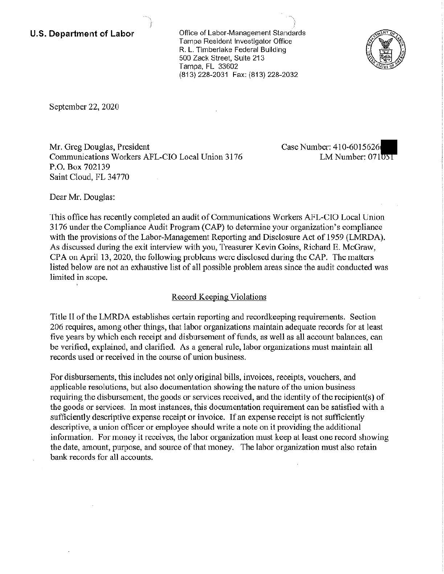**U.S. Department of Labor Conservation Conservation Conservation Conservation Conservation Conservation Conservation** Tampa Resident Investigator Office R. L. Timberlake Federal Building 500 Zack Street, Suite 213 Tampa, FL 33602 (813) 228-2031 Fax: (813) 228-2032



September 22, 2020

Mr. Greg Douglas, President Case Number: 410-6015626 Communications Workers AFL-CIO Local Union 3176 LM Number: 071051 P.O. Box 702139 Saint Cloud, FL 34770

Dear Mr. Douglas:

This office has recently completed an audit of Communications Workers AFL-CIO Local Union 3176 under the Compliance Audit Program (CAP) to determine your organization's compliance with the provisions of the Labor-Management Reporting and Disclosure Act of 1959 (LMRDA). As discussed during the exit interview with you, Treasurer Kevin Goins, Richard E. McGraw, CPA on April 13, 2020, the following problems were disclosed during the CAP. The matters listed below are not an exhaustive list of all possible problem areas since the audit conducted was limited in scope.

## Record Keeping Violations

Title II ofthe LMRDA establishes certain reporting and recordkeeping requirements. Section 206 requires, among other things, that labor organizations maintain adequate records for at least five years by which each receipt and disbursement of funds, as well as all account balances, can be verified, explained, and clarified. As a general rule, labor organizations must maintain all records used or received in the course of union business.

For disbursements, this includes not only original bills, invoices, receipts, vouchers, and applicable resolutions, but also documentation showing the nature of the union business requiring the disbursement, the goods or services received, and the identity of the recipient(s) of the goods or services. In most instances, this documentation requirement can be satisfied with a sufficiently descriptive expense receipt or invoice. If an expense receipt is not sufficiently descriptive, a union officer or employee should write a note on it providing the additional information. For money it receives, the labor organization must keep at least one record showing the date, amount, purpose, and source of that money. The labor organization must also retain bank records for all accounts.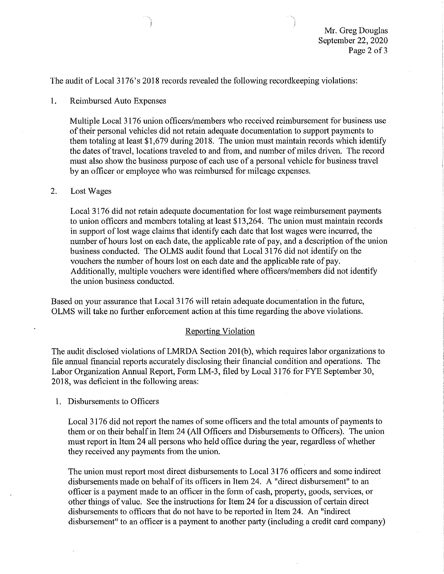The audit of Local 3176's 2018 records revealed the following record keeping violations:

# 1. Reimbursed Auto Expenses

Multiple Local 3176 union officers/members who received reimbursement for business use of their personal vehicles did not retain adequate documentation to support payments to them totaling at least  $$1.679$  during 2018. The union must maintain records which identify the dates of travel, locations traveled to and from, and number of miles driven. The record must also show the business purpose of each use of a personal vehicle for business travel by an officer or employee who was reimbursed for mileage expenses.

### 2. Lost Wages

Local 3176 did not retain adequate documentation for lost wage reimbursement payments to union officers and members totaling at least \$13,264. The union must maintain records in support of lost wage claims that identify each date that lost wages were incurred, the number of hours lost on each date, the applicable rate of pay, and a description of the union business conducted. The OLMS audit found that Local 3176 did not identify on the vouchers the number of hours lost on each date and the applicable rate of pay. Additionally, multiple vouchers were identified where officers/members did not identify the union business conducted.

Based on your assurance that Local 3176 will retain adequate documentation in the future, OLMS will take no futiher enforcement action at this time regarding the above violations.

#### **Reporting Violation**

The audit disclosed violations of LMRDA Section 201(b), which requires labor organizations to file annual financial reports accurately disclosing their financial condition and operations. The Labor Organization Annual Report, Fonn LM-3, filed by Local 3176 for FYE September 30, 2018, was deficient in the following areas:

1. Disbursements to Officers

Local 3176 did not report the names of some officers and the total amounts of payments to them or on their behalf in Item 24 (All Officers and Disbursements to Officers). The union must report in Item 24 all persons who held office during the year, regardless of whether they received any payments from the union.

The union must report most direct disbursements to Local 3176 officers and some indirect disbursements made on behalf of its officers in Item 24. A "direct disbursement" to an officer is a payment made to an officer in the form of cash, property, goods, services, or other things of value. See the instructions for Item 24 for a discussion of certain direct disbursements to officers that do not have to be reported in Item 24. An "indirect disbursement" to an officer is a payment to another party (including a credit card company)